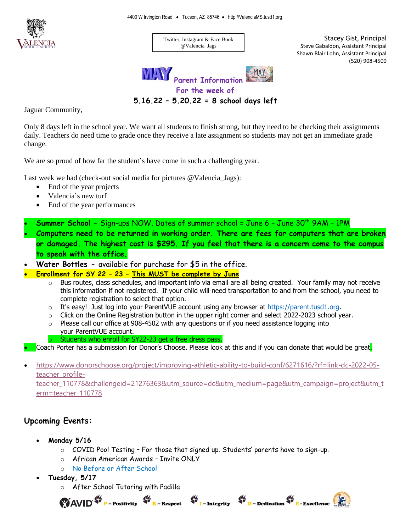

Twitter, Instagram & Face Book @Valencia\_Jags

Stacey Gist, Principal Steve Gabaldon, Assistant Principal Shawn Blair Lohn, Assistant Principal (520) 908-4500



**5.16.22 – 5.20.22 = 8 school days left** 

Jaguar Community,

Only 8 days left in the school year. We want all students to finish strong, but they need to be checking their assignments daily. Teachers do need time to grade once they receive a late assignment so students may not get an immediate grade change.

We are so proud of how far the student's have come in such a challenging year.

Last week we had (check-out social media for pictures @Valencia\_Jags):

- End of the year projects
- Valencia's new turf
- End of the year performances
- **Summer School –** Sign-ups NOW. Dates of summer school = June 6 June 30th 9AM 1PM
- **Computers need to be returned in working order. There are fees for computers that are broken or damaged. The highest cost is \$295. If you feel that there is a concern come to the campus to speak with the office.**
- **Water Bottles -** available for purchase for \$5 in the office.
- **Enrollment for SY 22 – 23 – This MUST be complete by June** 
	- $\circ$  Bus routes, class schedules, and important info via email are all being created. Your family may not receive this information if not registered. If your child will need transportation to and from the school, you need to complete registration to select that option.
	- $\circ$  It's easy! Just log into your ParentVUE account using any browser at [https://parent.tusd1.org.](https://parent.tusd1.org/)
	- $\circ$  Click on the Online Registration button in the upper right corner and select 2022-2023 school year.
	- $\circ$  Please call our office at 908-4502 with any questions or if you need assistance logging into your ParentVUE account.
		- Students who enroll for SY22-23 get a free dress pass.

Coach Porter has a submission for Donor's Choose. Please look at this and if you can donate that would be great.

• [https://www.donorschoose.org/project/improving-athletic-ability-to-build-conf/6271616/?rf=link-dc-2022-05](https://www.donorschoose.org/project/improving-athletic-ability-to-build-conf/6271616/?rf=link-dc-2022-05-teacher_profile-teacher_110778&challengeid=21276363&utm_source=dc&utm_medium=page&utm_campaign=project&utm_term=teacher_110778) [teacher\\_profile-](https://www.donorschoose.org/project/improving-athletic-ability-to-build-conf/6271616/?rf=link-dc-2022-05-teacher_profile-teacher_110778&challengeid=21276363&utm_source=dc&utm_medium=page&utm_campaign=project&utm_term=teacher_110778)

[teacher\\_110778&challengeid=21276363&utm\\_source=dc&utm\\_medium=page&utm\\_campaign=project&utm\\_t](https://www.donorschoose.org/project/improving-athletic-ability-to-build-conf/6271616/?rf=link-dc-2022-05-teacher_profile-teacher_110778&challengeid=21276363&utm_source=dc&utm_medium=page&utm_campaign=project&utm_term=teacher_110778) [erm=teacher\\_110778](https://www.donorschoose.org/project/improving-athletic-ability-to-build-conf/6271616/?rf=link-dc-2022-05-teacher_profile-teacher_110778&challengeid=21276363&utm_source=dc&utm_medium=page&utm_campaign=project&utm_term=teacher_110778)

 $\bullet$   $\bullet$   $\bullet$  Integrity

D – Dedication & E - Excellence

## **Upcoming Events:**

- **Monday 5/16**
	- $\circ$  COVID Pool Testing For those that signed up. Students' parents have to sign-up.
	- o African American Awards Invite ONLY
	- o No Before or After School
- **Tuesday, 5/17**
	- o After School Tutoring with Padilla